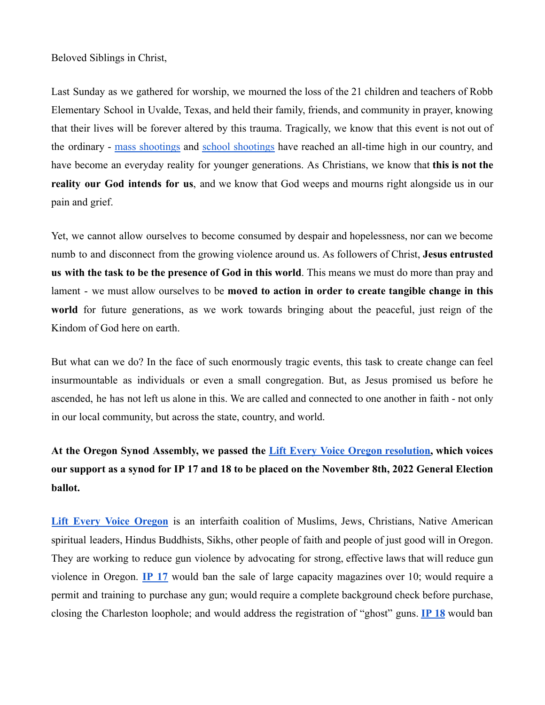## Beloved Siblings in Christ,

Last Sunday as we gathered for worship, we mourned the loss of the 21 children and teachers of Robb Elementary School in Uvalde, Texas, and held their family, friends, and community in prayer, knowing that their lives will be forever altered by this trauma. Tragically, we know that this event is not out of the ordinary - mass [shootings](https://www.gunviolencearchive.org/reports/mass-shooting) and school [shootings](https://www.nationalworld.com/news/world/how-many-school-shootings-america-since-1970s-after-texas-mass-attack-3708741) have reached an all-time high in our country, and have become an everyday reality for younger generations. As Christians, we know that **this is not the reality our God intends for us**, and we know that God weeps and mourns right alongside us in our pain and grief.

Yet, we cannot allow ourselves to become consumed by despair and hopelessness, nor can we become numb to and disconnect from the growing violence around us. As followers of Christ, **Jesus entrusted us with the task to be the presence of God in this world**. This means we must do more than pray and lament - we must allow ourselves to be **moved to action in order to create tangible change in this world** for future generations, as we work towards bringing about the peaceful, just reign of the Kindom of God here on earth.

But what can we do? In the face of such enormously tragic events, this task to create change can feel insurmountable as individuals or even a small congregation. But, as Jesus promised us before he ascended, he has not left us alone in this. We are called and connected to one another in faith - not only in our local community, but across the state, country, and world.

## **At the Oregon Synod Assembly, we passed the Lift Every Voice Oregon [resolution,](http://oregonsynod.org/wp-content/uploads/2022/04/2022-LEVO-Support-of-IP17-IP18.pdf) which voices** our support as a synod for IP 17 and 18 to be placed on the November 8th, 2022 General Election **ballot.**

**Lift Every Voice [Oregon](https://www.lifteveryvoiceoregon.com/)** is an interfaith coalition of Muslims, Jews, Christians, Native American spiritual leaders, Hindus Buddhists, Sikhs, other people of faith and people of just good will in Oregon. They are working to reduce gun violence by advocating for strong, effective laws that will reduce gun violence in Oregon. **IP [17](https://www.lifteveryvoiceoregon.com/ip-17-major-changes)** would ban the sale of large capacity magazines over 10; would require a permit and training to purchase any gun; would require a complete background check before purchase, closing the Charleston loophole; and would address the registration of "ghost" guns. **[IP](https://www.lifteveryvoiceoregon.com/ip-18-summary) 18** would ban